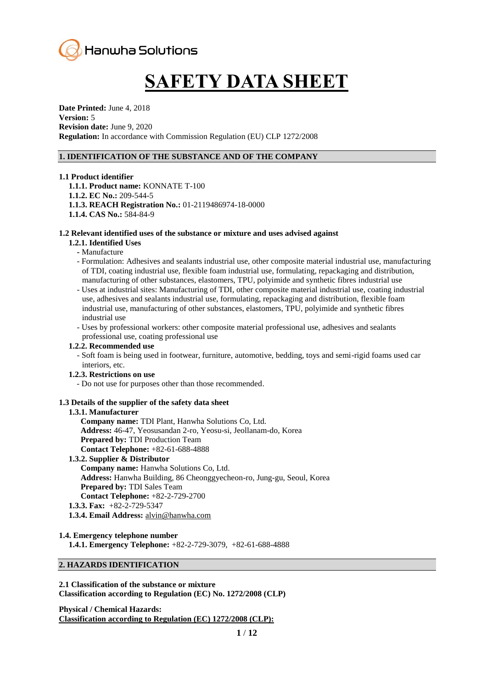

# **SAFETY DATA SHEET**

**Date Printed:** June 4, 2018 **Version:** 5 **Revision date:** June 9, 2020 **Regulation:** In accordance with Commission Regulation (EU) CLP 1272/2008

#### **1. IDENTIFICATION OF THE SUBSTANCE AND OF THE COMPANY**

#### **1.1 Product identifier**

**1.1.1. Product name:** KONNATE T-100 **1.1.2. EC No.:** 209-544-5 **1.1.3. REACH Registration No.:** 01-2119486974-18-0000 **1.1.4. CAS No.:** 584-84-9

# **1.2 Relevant identified uses of the substance or mixture and uses advised against**

# **1.2.1. Identified Uses**

- **-** Manufacture
- Formulation: Adhesives and sealants industrial use, other composite material industrial use, manufacturing of TDI, coating industrial use, flexible foam industrial use, formulating, repackaging and distribution, manufacturing of other substances, elastomers, TPU, polyimide and synthetic fibres industrial use
- Uses at industrial sites: Manufacturing of TDI, other composite material industrial use, coating industrial use, adhesives and sealants industrial use, formulating, repackaging and distribution, flexible foam industrial use, manufacturing of other substances, elastomers, TPU, polyimide and synthetic fibres industrial use
- Uses by professional workers: other composite material professional use, adhesives and sealants
- professional use, coating professional use

# **1.2.2. Recommended use**

 - Soft foam is being used in footwear, furniture, automotive, bedding, toys and semi-rigid foams used car interiors, etc.

# **1.2.3. Restrictions on use**

- Do not use for purposes other than those recommended.

# **1.3 Details of the supplier of the safety data sheet**

#### **1.3.1. Manufacturer**

**Company name:** TDI Plant, Hanwha Solutions Co, Ltd. **Address:** 46-47, Yeosusandan 2-ro, Yeosu-si, Jeollanam-do, Korea **Prepared by:** TDI Production Team **Contact Telephone:** +82-61-688-4888

# **1.3.2. Supplier & Distributor Company name:** Hanwha Solutions Co, Ltd. **Address:** Hanwha Building, 86 Cheonggyecheon-ro, Jung-gu, Seoul, Korea **Prepared by:** TDI Sales Team **Contact Telephone:** +82-2-729-2700

- **1.3.3. Fax:** +82-2-729-5347
- **1.3.4. Email Address:** [alvin@hanwha.com](mailto:alvin@hanwha.com)

# **1.4. Emergency telephone number**

**1.4.1. Emergency Telephone:** +82-2-729-3079, +82-61-688-4888

# **2. HAZARDS IDENTIFICATION**

**2.1 Classification of the substance or mixture Classification according to Regulation (EC) No. 1272/2008 (CLP)**

**Physical / Chemical Hazards: Classification according to Regulation (EC) 1272/2008 (CLP):**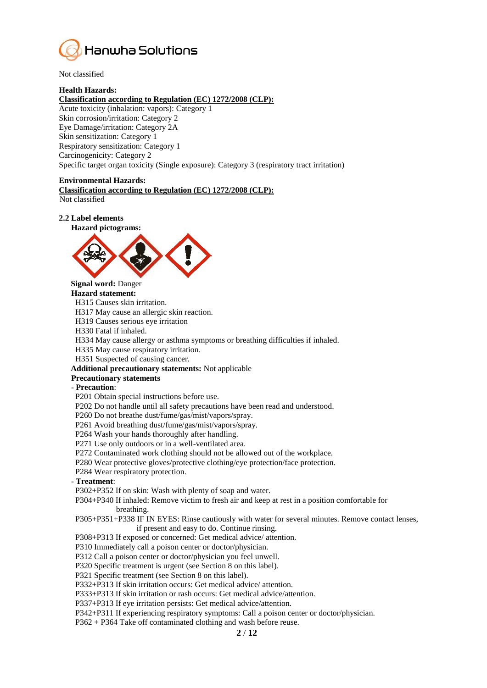

Not classified

#### **Health Hazards:**

# **Classification according to Regulation (EC) 1272/2008 (CLP):**

Acute toxicity (inhalation: vapors): Category 1 Skin corrosion/irritation: Category 2 Eye Damage/irritation: Category 2A Skin sensitization: Category 1 Respiratory sensitization: Category 1 Carcinogenicity: Category 2 Specific target organ toxicity (Single exposure): Category 3 (respiratory tract irritation)

#### **Environmental Hazards:**

**Classification according to Regulation (EC) 1272/2008 (CLP):** Not classified

#### **2.2 Label elements**





# **Signal word:** Danger

**Hazard statement:**

H315 Causes skin irritation.

H317 May cause an allergic skin reaction.

H319 Causes serious eye irritation

H330 Fatal if inhaled.

H334 May cause allergy or asthma symptoms or breathing difficulties if inhaled.

H335 May cause respiratory irritation.

H351 Suspected of causing cancer.

**Additional precautionary statements:** Not applicable

#### **Precautionary statements**

#### - **Precaution**:

P201 Obtain special instructions before use.

P202 Do not handle until all safety precautions have been read and understood.

P260 Do not breathe dust/fume/gas/mist/vapors/spray.

P261 Avoid breathing dust/fume/gas/mist/vapors/spray.

P264 Wash your hands thoroughly after handling.

P271 Use only outdoors or in a well-ventilated area.

P272 Contaminated work clothing should not be allowed out of the workplace.

P280 Wear protective gloves/protective clothing/eye protection/face protection.

P284 Wear respiratory protection.

- **Treatment**:

P302+P352 If on skin: Wash with plenty of soap and water.

P304+P340 If inhaled: Remove victim to fresh air and keep at rest in a position comfortable for breathing.

P305+P351+P338 IF IN EYES: Rinse cautiously with water for several minutes. Remove contact lenses, if present and easy to do. Continue rinsing.

P308+P313 If exposed or concerned: Get medical advice/ attention.

P310 Immediately call a poison center or doctor/physician.

P312 Call a poison center or doctor/physician you feel unwell.

P320 Specific treatment is urgent (see Section 8 on this label).

P321 Specific treatment (see Section 8 on this label).

P332+P313 If skin irritation occurs: Get medical advice/ attention.

P333+P313 If skin irritation or rash occurs: Get medical advice/attention.

P337+P313 If eye irritation persists: Get medical advice/attention.

P342+P311 If experiencing respiratory symptoms: Call a poison center or doctor/physician.

P362 + P364 Take off contaminated clothing and wash before reuse.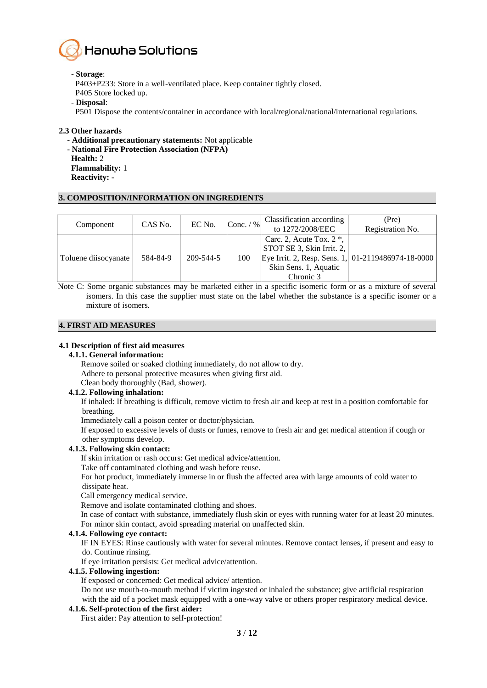

#### - **Storage**:

P403+P233: Store in a well-ventilated place. Keep container tightly closed.

- P405 Store locked up.
- **Disposal**:
- P501 Dispose the contents/container in accordance with local/regional/national/international regulations.

# **2.3 Other hazards**

- **- Additional precautionary statements:** Not applicable
- **National Fire Protection Association (NFPA)**
- **Health:** 2
- **Flammability:** 1
- **Reactivity:** -

# **3. COMPOSITION/INFORMATION ON INGREDIENTS**

| Component            | CAS No.  | EC No.    | Conc. $/$ % | Classification according<br>to 1272/2008/EEC                                                   | (Pre)<br>Registration No.                          |
|----------------------|----------|-----------|-------------|------------------------------------------------------------------------------------------------|----------------------------------------------------|
| Toluene diisocyanate | 584-84-9 | 209-544-5 | 100         | Carc. 2, Acute Tox. $2^*$ ,<br>STOT SE 3, Skin Irrit. 2,<br>Skin Sens. 1, Aquatic<br>Chronic 3 | Eye Irrit. 2, Resp. Sens. 1, 01-2119486974-18-0000 |

Note C: Some organic substances may be marketed either in a specific isomeric form or as a mixture of several isomers. In this case the supplier must state on the label whether the substance is a specific isomer or a mixture of isomers.

# **4. FIRST AID MEASURES**

# **4.1 Description of first aid measures**

# **4.1.1. General information:**

Remove soiled or soaked clothing immediately, do not allow to dry.

Adhere to personal protective measures when giving first aid.

Clean body thoroughly (Bad, shower).

# **4.1.2. Following inhalation:**

If inhaled: If breathing is difficult, remove victim to fresh air and keep at rest in a position comfortable for breathing.

Immediately call a poison center or doctor/physician.

If exposed to excessive levels of dusts or fumes, remove to fresh air and get medical attention if cough or other symptoms develop.

# **4.1.3. Following skin contact:**

If skin irritation or rash occurs: Get medical advice/attention.

Take off contaminated clothing and wash before reuse.

For hot product, immediately immerse in or flush the affected area with large amounts of cold water to dissipate heat.

Call emergency medical service.

Remove and isolate contaminated clothing and shoes.

In case of contact with substance, immediately flush skin or eyes with running water for at least 20 minutes. For minor skin contact, avoid spreading material on unaffected skin.

# **4.1.4. Following eye contact:**

IF IN EYES: Rinse cautiously with water for several minutes. Remove contact lenses, if present and easy to do. Continue rinsing.

If eye irritation persists: Get medical advice/attention.

# **4.1.5. Following ingestion:**

If exposed or concerned: Get medical advice/ attention.

Do not use mouth-to-mouth method if victim ingested or inhaled the substance; give artificial respiration with the aid of a pocket mask equipped with a one-way valve or others proper respiratory medical device.

# **4.1.6. Self-protection of the first aider:**

First aider: Pay attention to self-protection!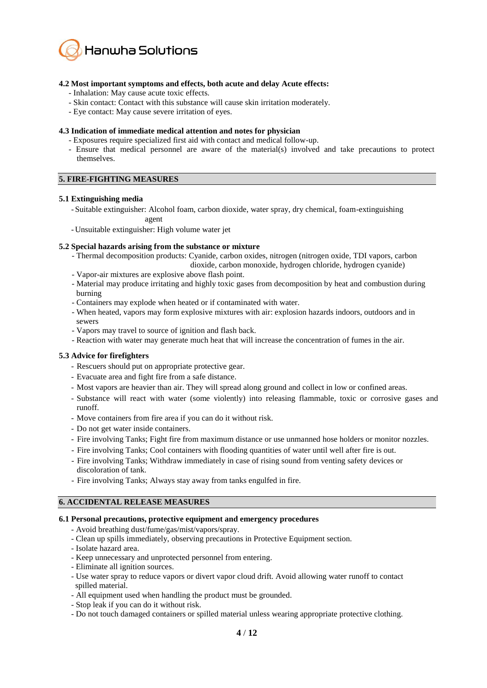

# **4.2 Most important symptoms and effects, both acute and delay Acute effects:**

- Inhalation: May cause acute toxic effects.
- Skin contact: Contact with this substance will cause skin irritation moderately.
- Eye contact: May cause severe irritation of eyes.

# **4.3 Indication of immediate medical attention and notes for physician**

- Exposures require specialized first aid with contact and medical follow-up.
- Ensure that medical personnel are aware of the material(s) involved and take precautions to protect themselves.

#### **5. FIRE-FIGHTING MEASURES**

#### **5.1 Extinguishing media**

- Suitable extinguisher: Alcohol foam, carbon dioxide, water spray, dry chemical, foam-extinguishing agent
- Unsuitable extinguisher: High volume water jet

#### **5.2 Special hazards arising from the substance or mixture**

- Thermal decomposition products: Cyanide, carbon oxides, nitrogen (nitrogen oxide, TDI vapors, carbon dioxide, carbon monoxide, hydrogen chloride, hydrogen cyanide)
- Vapor-air mixtures are explosive above flash point.
- Material may produce irritating and highly toxic gases from decomposition by heat and combustion during burning
- Containers may explode when heated or if contaminated with water.
- When heated, vapors may form explosive mixtures with air: explosion hazards indoors, outdoors and in sewers
- Vapors may travel to source of ignition and flash back.
- Reaction with water may generate much heat that will increase the concentration of fumes in the air.

# **5.3 Advice for firefighters**

- Rescuers should put on appropriate protective gear.
- Evacuate area and fight fire from a safe distance.
- Most vapors are heavier than air. They will spread along ground and collect in low or confined areas.
- Substance will react with water (some violently) into releasing flammable, toxic or corrosive gases and runoff.
- Move containers from fire area if you can do it without risk.
- Do not get water inside containers.
- Fire involving Tanks; Fight fire from maximum distance or use unmanned hose holders or monitor nozzles.
- Fire involving Tanks; Cool containers with flooding quantities of water until well after fire is out.
- Fire involving Tanks; Withdraw immediately in case of rising sound from venting safety devices or discoloration of tank.
- Fire involving Tanks; Always stay away from tanks engulfed in fire.

#### **6. ACCIDENTAL RELEASE MEASURES**

#### **6.1 Personal precautions, protective equipment and emergency procedures**

- Avoid breathing dust/fume/gas/mist/vapors/spray.
- Clean up spills immediately, observing precautions in Protective Equipment section.
- Isolate hazard area.
- Keep unnecessary and unprotected personnel from entering.
- Eliminate all ignition sources.
- Use water spray to reduce vapors or divert vapor cloud drift. Avoid allowing water runoff to contact spilled material.
- All equipment used when handling the product must be grounded.
- Stop leak if you can do it without risk.
- Do not touch damaged containers or spilled material unless wearing appropriate protective clothing.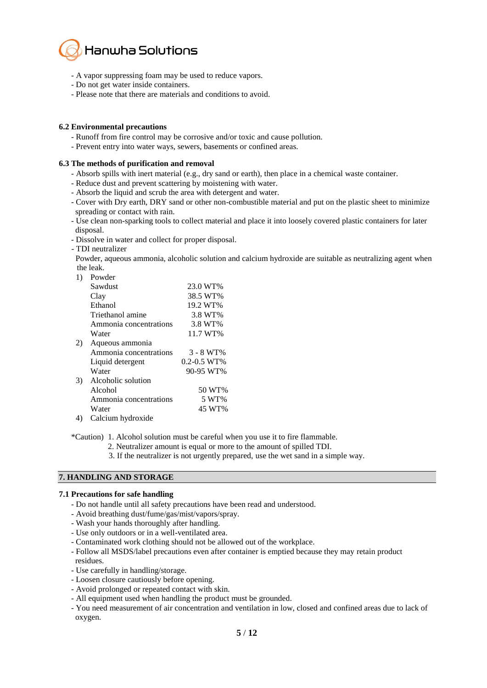

- A vapor suppressing foam may be used to reduce vapors.
- Do not get water inside containers.
- Please note that there are materials and conditions to avoid.

# **6.2 Environmental precautions**

- Runoff from fire control may be corrosive and/or toxic and cause pollution.
- Prevent entry into water ways, sewers, basements or confined areas.

#### **6.3 The methods of purification and removal**

- Absorb spills with inert material (e.g., dry sand or earth), then place in a chemical waste container.
- Reduce dust and prevent scattering by moistening with water.
- Absorb the liquid and scrub the area with detergent and water.
- Cover with Dry earth, DRY sand or other non-combustible material and put on the plastic sheet to minimize spreading or contact with rain.
- Use clean non-sparking tools to collect material and place it into loosely covered plastic containers for later disposal.
- Dissolve in water and collect for proper disposal.
- TDI neutralizer

 Powder, aqueous ammonia, alcoholic solution and calcium hydroxide are suitable as neutralizing agent when the leak.

|    | Powder                 |                   |
|----|------------------------|-------------------|
|    | Sawdust                | 23.0 WT%          |
|    | Clay                   | 38.5 WT%          |
|    | Ethanol                | 19.2 WT%          |
|    | Triethanol amine       | 3.8 WT%           |
|    | Ammonia concentrations | 3.8 WT%           |
|    | Water                  | 11.7 WT%          |
| 2) | Aqueous ammonia        |                   |
|    | Ammonia concentrations | 3 - 8 WT%         |
|    | Liquid detergent       | $0.2 - 0.5 W T$ % |
|    | Water                  | 90-95 WT%         |
| 3) | Alcoholic solution     |                   |
|    | Alcohol                | 50 WT%            |
|    | Ammonia concentrations | 5 WT%             |
|    | Water                  | 45 WT%            |
| 4) | Calcium hydroxide      |                   |

\*Caution) 1. Alcohol solution must be careful when you use it to fire flammable.

- 2. Neutralizer amount is equal or more to the amount of spilled TDI.
- 3. If the neutralizer is not urgently prepared, use the wet sand in a simple way.

# **7. HANDLING AND STORAGE**

#### **7.1 Precautions for safe handling**

- Do not handle until all safety precautions have been read and understood.
- Avoid breathing dust/fume/gas/mist/vapors/spray.
- Wash your hands thoroughly after handling.
- Use only outdoors or in a well-ventilated area.
- Contaminated work clothing should not be allowed out of the workplace.
- Follow all MSDS/label precautions even after container is emptied because they may retain product residues.
- Use carefully in handling/storage.
- Loosen closure cautiously before opening.
- Avoid prolonged or repeated contact with skin.
- All equipment used when handling the product must be grounded.
- You need measurement of air concentration and ventilation in low, closed and confined areas due to lack of oxygen.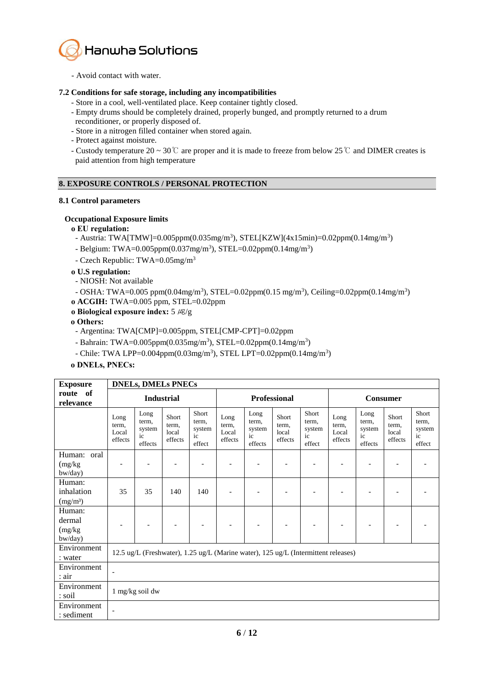

- Avoid contact with water.

# **7.2 Conditions for safe storage, including any incompatibilities**

- Store in a cool, well-ventilated place. Keep container tightly closed.
- Empty drums should be completely drained, properly bunged, and promptly returned to a drum
- reconditioner, or properly disposed of.
- Store in a nitrogen filled container when stored again.
- Protect against moisture.
- Custody temperature 20 ~ 30  $\degree$  are proper and it is made to freeze from below 25  $\degree$  and DIMER creates is paid attention from high temperature

# **8. EXPOSURE CONTROLS / PERSONAL PROTECTION**

# **8.1 Control parameters**

# **Occupational Exposure limits**

# **ο EU regulation:**

- Austria: TWA[TMW]=0.005ppm(0.035mg/m<sup>3</sup>), STEL[KZW](4x15min)=0.02ppm(0.14mg/m<sup>3</sup>)
- Belgium: TWA=0.005ppm(0.037mg/m<sup>3</sup>), STEL=0.02ppm(0.14mg/m<sup>3</sup>)
- Czech Republic: TWA=0.05mg/m<sup>3</sup>

# **ο U.S regulation:**

- NIOSH: Not available
- OSHA: TWA=0.005 ppm(0.04mg/m<sup>3</sup>), STEL=0.02ppm(0.15 mg/m<sup>3</sup>), Ceiling=0.02ppm(0.14mg/m<sup>3</sup>)
- **ο ACGIH:** TWA=0.005 ppm, STEL=0.02ppm
- **ο Biological exposure index:** 5 ㎍/g

# **ο Others:**

- Argentina: TWA[CMP]=0.005ppm, STEL[CMP-CPT]=0.02ppm
- Bahrain: TWA=0.005ppm(0.035mg/m<sup>3</sup>), STEL=0.02ppm(0.14mg/m<sup>3</sup>)
- Chile: TWA LPP=0.004ppm(0.03mg/m<sup>3</sup>), STEL LPT=0.02ppm(0.14mg/m<sup>3</sup>)

# **ο DNELs, PNECs:**

| <b>Exposure</b>                              |                                                                                    | <b>DNELs, DMELs PNECs</b>                |                                    |                                          |                                   |                                          |                                    |                                          |                                   |                                          |                                    |                                          |
|----------------------------------------------|------------------------------------------------------------------------------------|------------------------------------------|------------------------------------|------------------------------------------|-----------------------------------|------------------------------------------|------------------------------------|------------------------------------------|-----------------------------------|------------------------------------------|------------------------------------|------------------------------------------|
| route of<br>relevance                        | <b>Industrial</b>                                                                  |                                          |                                    | <b>Professional</b>                      |                                   |                                          |                                    | Consumer                                 |                                   |                                          |                                    |                                          |
|                                              | Long<br>term,<br>Local<br>effects                                                  | Long<br>term,<br>system<br>ic<br>effects | Short<br>term,<br>local<br>effects | Short<br>term,<br>system<br>ic<br>effect | Long<br>term,<br>Local<br>effects | Long<br>term,<br>system<br>ic<br>effects | Short<br>term,<br>local<br>effects | Short<br>term,<br>system<br>ic<br>effect | Long<br>term,<br>Local<br>effects | Long<br>term,<br>system<br>ic<br>effects | Short<br>term,<br>local<br>effects | Short<br>term,<br>system<br>ic<br>effect |
| Human: oral<br>(mg/kg)<br>bw/day)            |                                                                                    |                                          |                                    |                                          |                                   |                                          |                                    |                                          |                                   |                                          |                                    |                                          |
| Human:<br>inhalation<br>(mg/m <sup>3</sup> ) | 35                                                                                 | 35                                       | 140                                | 140                                      |                                   |                                          |                                    |                                          |                                   |                                          |                                    |                                          |
| Human:<br>dermal<br>(mg/kg)<br>bw/day)       |                                                                                    |                                          |                                    |                                          |                                   |                                          |                                    |                                          |                                   |                                          |                                    |                                          |
| Environment<br>: water                       | 12.5 ug/L (Freshwater), 1.25 ug/L (Marine water), 125 ug/L (Intermittent releases) |                                          |                                    |                                          |                                   |                                          |                                    |                                          |                                   |                                          |                                    |                                          |
| Environment<br>: air                         | $\overline{\phantom{a}}$                                                           |                                          |                                    |                                          |                                   |                                          |                                    |                                          |                                   |                                          |                                    |                                          |
| Environment<br>: soil                        | 1 mg/kg soil dw                                                                    |                                          |                                    |                                          |                                   |                                          |                                    |                                          |                                   |                                          |                                    |                                          |
| Environment<br>: sediment                    | ٠                                                                                  |                                          |                                    |                                          |                                   |                                          |                                    |                                          |                                   |                                          |                                    |                                          |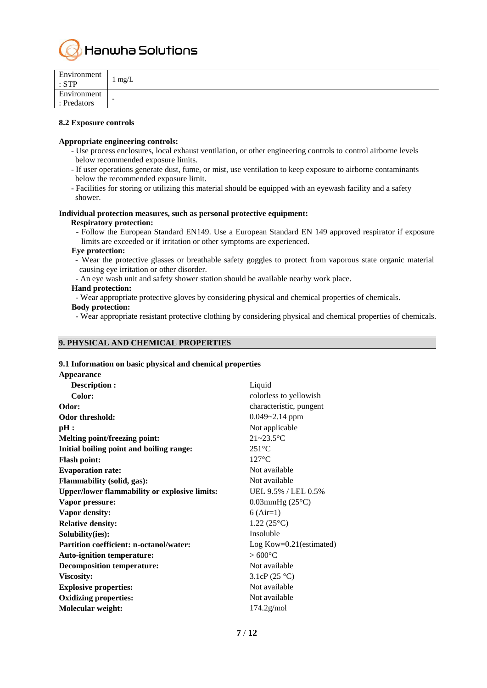

| Environment<br>. STP       | mg/L |
|----------------------------|------|
| Environment<br>: Predators | -    |

#### **8.2 Exposure controls**

#### **Appropriate engineering controls:**

- Use process enclosures, local exhaust ventilation, or other engineering controls to control airborne levels below recommended exposure limits.
- If user operations generate dust, fume, or mist, use ventilation to keep exposure to airborne contaminants below the recommended exposure limit.
- Facilities for storing or utilizing this material should be equipped with an eyewash facility and a safety shower.

# **Individual protection measures, such as personal protective equipment:**

# **Respiratory protection:**

- Follow the European Standard EN149. Use a European Standard EN 149 approved respirator if exposure limits are exceeded or if irritation or other symptoms are experienced.

#### **Eye protection:**

- Wear the protective glasses or breathable safety goggles to protect from vaporous state organic material causing eye irritation or other disorder.
- An eye wash unit and safety shower station should be available nearby work place.

# **Hand protection:**

- Wear appropriate protective gloves by considering physical and chemical properties of chemicals.

# **Body protection:**

- Wear appropriate resistant protective clothing by considering physical and chemical properties of chemicals.

# **9. PHYSICAL AND CHEMICAL PROPERTIES**

# **9.1 Information on basic physical and chemical properties**

| <b>Appearance</b>                                    |                              |
|------------------------------------------------------|------------------------------|
| <b>Description:</b>                                  | Liquid                       |
| Color:                                               | colorless to yellowish       |
| Odor:                                                | characteristic, pungent      |
| Odor threshold:                                      | $0.049 - 2.14$ ppm           |
| pH:                                                  | Not applicable               |
| <b>Melting point/freezing point:</b>                 | $21 - 23.5$ °C               |
| Initial boiling point and boiling range:             | $251^{\circ}$ C              |
| <b>Flash point:</b>                                  | $127^{\circ}$ C              |
| <b>Evaporation rate:</b>                             | Not available                |
| Flammability (solid, gas):                           | Not available                |
| <b>Upper/lower flammability or explosive limits:</b> | UEL 9.5% / LEL 0.5%          |
| Vapor pressure:                                      | $0.03$ mmHg $(25^{\circ}C)$  |
| Vapor density:                                       | $6 (Air=1)$                  |
| <b>Relative density:</b>                             | $1.22(25^{\circ}C)$          |
| Solubility(ies):                                     | Insoluble                    |
| <b>Partition coefficient: n-octanol/water:</b>       | $Log Kow = 0.21$ (estimated) |
| <b>Auto-ignition temperature:</b>                    | $>600^{\circ}$ C             |
| <b>Decomposition temperature:</b>                    | Not available                |
| Viscosity:                                           | 3.1cP $(25 °C)$              |
| <b>Explosive properties:</b>                         | Not available                |
| <b>Oxidizing properties:</b>                         | Not available                |
| Molecular weight:                                    | $174.2$ g/mol                |
|                                                      |                              |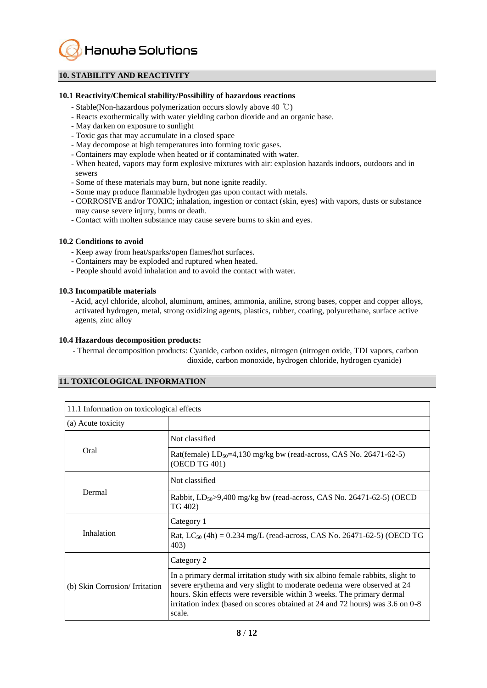Hanwha Solutions

# **10. STABILITY AND REACTIVITY**

#### **10.1 Reactivity/Chemical stability/Possibility of hazardous reactions**

- Stable(Non-hazardous polymerization occurs slowly above 40 ℃)
- Reacts exothermically with water yielding carbon dioxide and an organic base.
- May darken on exposure to sunlight
- Toxic gas that may accumulate in a closed space
- May decompose at high temperatures into forming toxic gases.
- Containers may explode when heated or if contaminated with water.
- When heated, vapors may form explosive mixtures with air: explosion hazards indoors, outdoors and in sewers
- Some of these materials may burn, but none ignite readily.
- Some may produce flammable hydrogen gas upon contact with metals.
- CORROSIVE and/or TOXIC; inhalation, ingestion or contact (skin, eyes) with vapors, dusts or substance may cause severe injury, burns or death.
- Contact with molten substance may cause severe burns to skin and eyes.

#### **10.2 Conditions to avoid**

- Keep away from heat/sparks/open flames/hot surfaces.
- Containers may be exploded and ruptured when heated.
- People should avoid inhalation and to avoid the contact with water.

#### **10.3 Incompatible materials**

- Acid, acyl chloride, alcohol, aluminum, amines, ammonia, aniline, strong bases, copper and copper alloys, activated hydrogen, metal, strong oxidizing agents, plastics, rubber, coating, polyurethane, surface active agents, zinc alloy

#### **10.4 Hazardous decomposition products:**

- Thermal decomposition products: Cyanide, carbon oxides, nitrogen (nitrogen oxide, TDI vapors, carbon dioxide, carbon monoxide, hydrogen chloride, hydrogen cyanide)

# **11. TOXICOLOGICAL INFORMATION**

| 11.1 Information on toxicological effects |                                                                                                                                                                                                                                                                                                                               |  |  |  |
|-------------------------------------------|-------------------------------------------------------------------------------------------------------------------------------------------------------------------------------------------------------------------------------------------------------------------------------------------------------------------------------|--|--|--|
| (a) Acute toxicity                        |                                                                                                                                                                                                                                                                                                                               |  |  |  |
|                                           | Not classified                                                                                                                                                                                                                                                                                                                |  |  |  |
| Oral                                      | Rat(female) $LD_{50} = 4,130$ mg/kg bw (read-across, CAS No. 26471-62-5)<br>(OECD TG 401)                                                                                                                                                                                                                                     |  |  |  |
|                                           | Not classified                                                                                                                                                                                                                                                                                                                |  |  |  |
| Dermal                                    | Rabbit, $LD_{50} > 9,400$ mg/kg bw (read-across, CAS No. 26471-62-5) (OECD<br>TG 402)                                                                                                                                                                                                                                         |  |  |  |
|                                           | Category 1                                                                                                                                                                                                                                                                                                                    |  |  |  |
| Inhalation                                | Rat, LC <sub>50</sub> (4h) = 0.234 mg/L (read-across, CAS No. 26471-62-5) (OECD TG<br>403)                                                                                                                                                                                                                                    |  |  |  |
|                                           | Category 2                                                                                                                                                                                                                                                                                                                    |  |  |  |
| (b) Skin Corrosion/ Irritation            | In a primary dermal irritation study with six albino female rabbits, slight to<br>severe erythema and very slight to moderate oedema were observed at 24<br>hours. Skin effects were reversible within 3 weeks. The primary dermal<br>irritation index (based on scores obtained at 24 and 72 hours) was 3.6 on 0-8<br>scale. |  |  |  |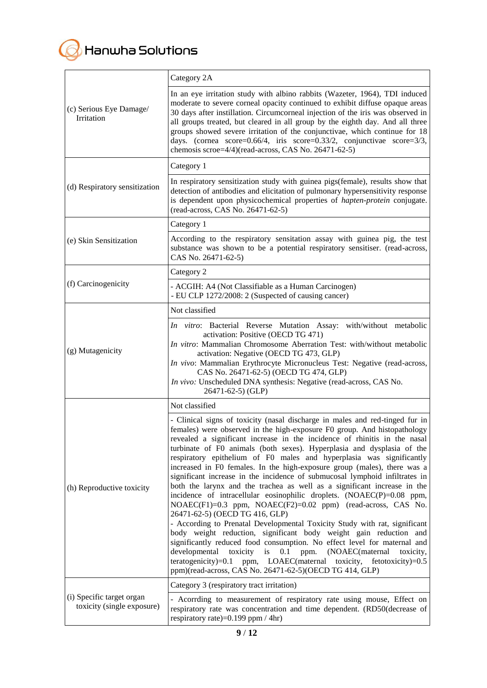

|                                                         | Category 2A                                                                                                                                                                                                                                                                                                                                                                                                                                                                                                                                                                                                                                                                                                                                                                                                                                                                                                                                                                                                                                                                                                                                                                                                                                                                 |  |  |  |  |
|---------------------------------------------------------|-----------------------------------------------------------------------------------------------------------------------------------------------------------------------------------------------------------------------------------------------------------------------------------------------------------------------------------------------------------------------------------------------------------------------------------------------------------------------------------------------------------------------------------------------------------------------------------------------------------------------------------------------------------------------------------------------------------------------------------------------------------------------------------------------------------------------------------------------------------------------------------------------------------------------------------------------------------------------------------------------------------------------------------------------------------------------------------------------------------------------------------------------------------------------------------------------------------------------------------------------------------------------------|--|--|--|--|
| (c) Serious Eye Damage/<br>Irritation                   | In an eye irritation study with albino rabbits (Wazeter, 1964), TDI induced<br>moderate to severe corneal opacity continued to exhibit diffuse opaque areas<br>30 days after instillation. Circumcorneal injection of the iris was observed in<br>all groups treated, but cleared in all group by the eighth day. And all three<br>groups showed severe irritation of the conjunctivae, which continue for 18<br>days. (cornea score= $0.66/4$ , iris score= $0.33/2$ , conjunctivae score= $3/3$ ,<br>chemosis scroe=4/4)(read-across, CAS No. 26471-62-5)                                                                                                                                                                                                                                                                                                                                                                                                                                                                                                                                                                                                                                                                                                                 |  |  |  |  |
|                                                         | Category 1                                                                                                                                                                                                                                                                                                                                                                                                                                                                                                                                                                                                                                                                                                                                                                                                                                                                                                                                                                                                                                                                                                                                                                                                                                                                  |  |  |  |  |
| (d) Respiratory sensitization                           | In respiratory sensitization study with guinea pigs(female), results show that<br>detection of antibodies and elicitation of pulmonary hypersensitivity response<br>is dependent upon physicochemical properties of hapten-protein conjugate.<br>(read-across, CAS No. 26471-62-5)                                                                                                                                                                                                                                                                                                                                                                                                                                                                                                                                                                                                                                                                                                                                                                                                                                                                                                                                                                                          |  |  |  |  |
|                                                         | Category 1                                                                                                                                                                                                                                                                                                                                                                                                                                                                                                                                                                                                                                                                                                                                                                                                                                                                                                                                                                                                                                                                                                                                                                                                                                                                  |  |  |  |  |
| (e) Skin Sensitization                                  | According to the respiratory sensitation assay with guinea pig, the test<br>substance was shown to be a potential respiratory sensitiser. (read-across,<br>CAS No. 26471-62-5)                                                                                                                                                                                                                                                                                                                                                                                                                                                                                                                                                                                                                                                                                                                                                                                                                                                                                                                                                                                                                                                                                              |  |  |  |  |
|                                                         | Category 2                                                                                                                                                                                                                                                                                                                                                                                                                                                                                                                                                                                                                                                                                                                                                                                                                                                                                                                                                                                                                                                                                                                                                                                                                                                                  |  |  |  |  |
| (f) Carcinogenicity                                     | - ACGIH: A4 (Not Classifiable as a Human Carcinogen)<br>- EU CLP 1272/2008: 2 (Suspected of causing cancer)                                                                                                                                                                                                                                                                                                                                                                                                                                                                                                                                                                                                                                                                                                                                                                                                                                                                                                                                                                                                                                                                                                                                                                 |  |  |  |  |
|                                                         | Not classified                                                                                                                                                                                                                                                                                                                                                                                                                                                                                                                                                                                                                                                                                                                                                                                                                                                                                                                                                                                                                                                                                                                                                                                                                                                              |  |  |  |  |
| (g) Mutagenicity                                        | In vitro: Bacterial Reverse Mutation Assay: with/without metabolic<br>activation: Positive (OECD TG 471)<br>In vitro: Mammalian Chromosome Aberration Test: with/without metabolic<br>activation: Negative (OECD TG 473, GLP)<br>In vivo: Mammalian Erythrocyte Micronucleus Test: Negative (read-across,<br>CAS No. 26471-62-5) (OECD TG 474, GLP)<br>In vivo: Unscheduled DNA synthesis: Negative (read-across, CAS No.<br>26471-62-5) (GLP)                                                                                                                                                                                                                                                                                                                                                                                                                                                                                                                                                                                                                                                                                                                                                                                                                              |  |  |  |  |
|                                                         | Not classified                                                                                                                                                                                                                                                                                                                                                                                                                                                                                                                                                                                                                                                                                                                                                                                                                                                                                                                                                                                                                                                                                                                                                                                                                                                              |  |  |  |  |
| (h) Reproductive toxicity                               | - Clinical signs of toxicity (nasal discharge in males and red-tinged fur in<br>females) were observed in the high-exposure F0 group. And histopathology<br>revealed a significant increase in the incidence of rhinitis in the nasal<br>turbinate of F0 animals (both sexes). Hyperplasia and dysplasia of the<br>respiratory epithelium of F0 males and hyperplasia was significantly<br>increased in F0 females. In the high-exposure group (males), there was a<br>significant increase in the incidence of submucosal lymphoid infiltrates in<br>both the larynx and the trachea as well as a significant increase in the<br>incidence of intracellular eosinophilic droplets. (NOAEC(P)=0.08 ppm,<br>NOAEC(F1)=0.3 ppm, NOAEC(F2)=0.02 ppm) (read-across, CAS No.<br>26471-62-5) (OECD TG 416, GLP)<br>- According to Prenatal Developmental Toxicity Study with rat, significant<br>body weight reduction, significant body weight gain reduction and<br>significantly reduced food consumption. No effect level for maternal and<br>developmental<br>toxicity<br>is<br>0.1<br>ppm.<br>(NOAEC(maternal<br>toxicity,<br>$\text{teratogenicity}$ =0.1<br>ppm, LOAEC(maternal<br>toxicity, fetotoxicity)=0.5<br>ppm)(read-across, CAS No. 26471-62-5)(OECD TG 414, GLP) |  |  |  |  |
|                                                         | Category 3 (respiratory tract irritation)                                                                                                                                                                                                                                                                                                                                                                                                                                                                                                                                                                                                                                                                                                                                                                                                                                                                                                                                                                                                                                                                                                                                                                                                                                   |  |  |  |  |
| (i) Specific target organ<br>toxicity (single exposure) | - Acorrding to measurement of respiratory rate using mouse, Effect on<br>respiratory rate was concentration and time dependent. (RD50(decrease of<br>respiratory rate)= $0.199$ ppm / 4hr)                                                                                                                                                                                                                                                                                                                                                                                                                                                                                                                                                                                                                                                                                                                                                                                                                                                                                                                                                                                                                                                                                  |  |  |  |  |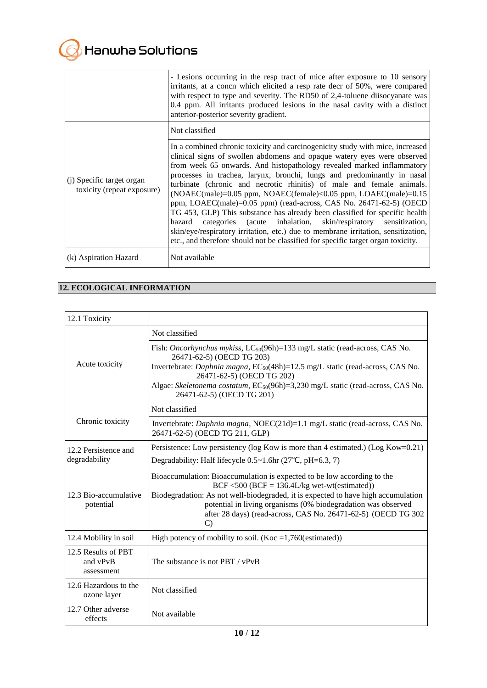|                                                         | - Lesions occurring in the resp tract of mice after exposure to 10 sensory<br>irritants, at a concn which elicited a resp rate decr of 50%, were compared<br>with respect to type and severity. The RD50 of 2,4-toluene disocyanate was<br>0.4 ppm. All irritants produced lesions in the nasal cavity with a distinct<br>anterior-posterior severity gradient.                                                                                                                                                                                                                                                                                                                                                                                                                                                                                                         |
|---------------------------------------------------------|-------------------------------------------------------------------------------------------------------------------------------------------------------------------------------------------------------------------------------------------------------------------------------------------------------------------------------------------------------------------------------------------------------------------------------------------------------------------------------------------------------------------------------------------------------------------------------------------------------------------------------------------------------------------------------------------------------------------------------------------------------------------------------------------------------------------------------------------------------------------------|
|                                                         | Not classified                                                                                                                                                                                                                                                                                                                                                                                                                                                                                                                                                                                                                                                                                                                                                                                                                                                          |
| (i) Specific target organ<br>toxicity (repeat exposure) | In a combined chronic toxicity and carcinogenicity study with mice, increased<br>clinical signs of swollen abdomens and opaque watery eyes were observed<br>from week 65 onwards. And histopathology revealed marked inflammatory<br>processes in trachea, larynx, bronchi, lungs and predominantly in nasal<br>turbinate (chronic and necrotic rhinitis) of male and female animals.<br>$(NOAEC(male)=0.05$ ppm, $NOAEC(female)<0.05$ ppm, $LOAEC(male)=0.15$<br>ppm, LOAEC(male)=0.05 ppm) (read-across, CAS No. 26471-62-5) (OECD<br>TG 453, GLP) This substance has already been classified for specific health<br>categories (acute inhalation, skin/respiratory sensitization,<br>hazard<br>skin/eye/respiratory irritation, etc.) due to membrane irritation, sensitization,<br>etc., and therefore should not be classified for specific target organ toxicity. |
| (k) Aspiration Hazard                                   | Not available                                                                                                                                                                                                                                                                                                                                                                                                                                                                                                                                                                                                                                                                                                                                                                                                                                                           |

# **12. ECOLOGICAL INFORMATION**

| 12.1 Toxicity                                 |                                                                                                                                                                                                                                                                                                                                                                             |
|-----------------------------------------------|-----------------------------------------------------------------------------------------------------------------------------------------------------------------------------------------------------------------------------------------------------------------------------------------------------------------------------------------------------------------------------|
|                                               | Not classified                                                                                                                                                                                                                                                                                                                                                              |
| Acute toxicity                                | Fish: Oncorhynchus mykiss, LC <sub>50</sub> (96h)=133 mg/L static (read-across, CAS No.<br>26471-62-5) (OECD TG 203)<br>Invertebrate: Daphnia magna, EC <sub>50</sub> (48h)=12.5 mg/L static (read-across, CAS No.<br>26471-62-5) (OECD TG 202)<br>Algae: Skeletonema costatum, EC <sub>50</sub> (96h)=3,230 mg/L static (read-across, CAS No.<br>26471-62-5) (OECD TG 201) |
|                                               | Not classified                                                                                                                                                                                                                                                                                                                                                              |
| Chronic toxicity                              | Invertebrate: <i>Daphnia magna</i> , NOEC(21d)=1.1 mg/L static (read-across, CAS No.<br>26471-62-5) (OECD TG 211, GLP)                                                                                                                                                                                                                                                      |
| 12.2 Persistence and                          | Persistence: Low persistency (log Kow is more than 4 estimated.) (Log Kow=0.21)                                                                                                                                                                                                                                                                                             |
| degradability                                 | Degradability: Half lifecycle $0.5 \sim 1.6$ hr (27°C, pH=6.3, 7)                                                                                                                                                                                                                                                                                                           |
| 12.3 Bio-accumulative<br>potential            | Bioaccumulation: Bioaccumulation is expected to be low according to the<br>BCF <500 (BCF = $136.4$ L/kg wet-wt(estimated))<br>Biodegradation: As not well-biodegraded, it is expected to have high accumulation<br>potential in living organisms (0% biodegradation was observed<br>after 28 days) (read-across, CAS No. 26471-62-5) (OECD TG 302<br>$\mathcal{C}$          |
| 12.4 Mobility in soil                         | High potency of mobility to soil. (Koc = $1,760$ (estimated))                                                                                                                                                                                                                                                                                                               |
| 12.5 Results of PBT<br>and vPvB<br>assessment | The substance is not PBT / vPvB                                                                                                                                                                                                                                                                                                                                             |
| 12.6 Hazardous to the<br>ozone layer          | Not classified                                                                                                                                                                                                                                                                                                                                                              |
| 12.7 Other adverse<br>effects                 | Not available                                                                                                                                                                                                                                                                                                                                                               |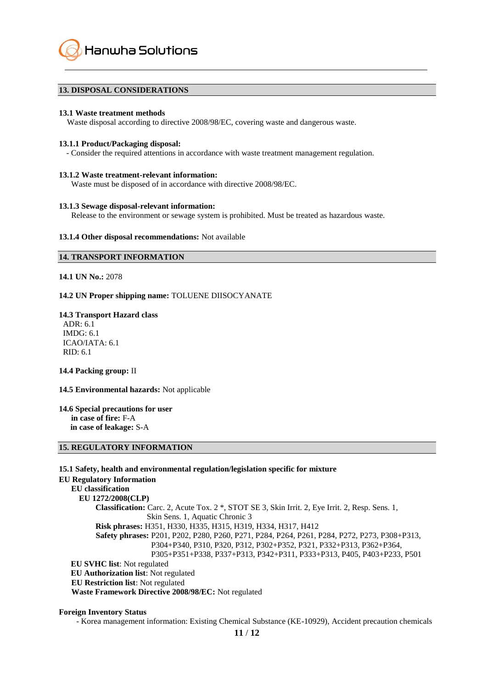Hanwha Solutions

#### **13. DISPOSAL CONSIDERATIONS**

#### **13.1 Waste treatment methods**

Waste disposal according to directive 2008/98/EC, covering waste and dangerous waste.

#### **13.1.1 Product/Packaging disposal:**

- Consider the required attentions in accordance with waste treatment management regulation.

#### **13.1.2 Waste treatment-relevant information:**

Waste must be disposed of in accordance with directive 2008/98/EC.

#### **13.1.3 Sewage disposal-relevant information:**

Release to the environment or sewage system is prohibited. Must be treated as hazardous waste.

#### **13.1.4 Other disposal recommendations:** Not available

#### **14. TRANSPORT INFORMATION**

**14.1 UN No.:** 2078

#### **14.2 UN Proper shipping name:** TOLUENE DIISOCYANATE

#### **14.3 Transport Hazard class**

ADR: 6.1 IMDG: 6.1 ICAO/IATA: 6.1 RID: 6.1

#### **14.4 Packing group:** II

# **14.5 Environmental hazards:** Not applicable

#### **14.6 Special precautions for user in case of fire:** F-A **in case of leakage:** S-A

# **15. REGULATORY INFORMATION**

**15.1 Safety, health and environmental regulation/legislation specific for mixture EU Regulatory Information EU classification EU 1272/2008(CLP) Classification:** Carc. 2, Acute Tox. 2 \*, STOT SE 3, Skin Irrit. 2, Eye Irrit. 2, Resp. Sens. 1, Skin Sens. 1, Aquatic Chronic 3  **Risk phrases:** H351, H330, H335, H315, H319, H334, H317, H412  **Safety phrases:** P201, P202, P280, P260, P271, P284, P264, P261, P284, P272, P273, P308+P313, P304+P340, P310, P320, P312, P302+P352, P321, P332+P313, P362+P364, P305+P351+P338, P337+P313, P342+P311, P333+P313, P405, P403+P233, P501 **EU SVHC list**: Not regulated **EU Authorization list**: Not regulated **EU Restriction list**: Not regulated  **Waste Framework Directive 2008/98/EC:** Not regulated

# **Foreign Inventory Status**

- Korea management information: Existing Chemical Substance (KE-10929), Accident precaution chemicals